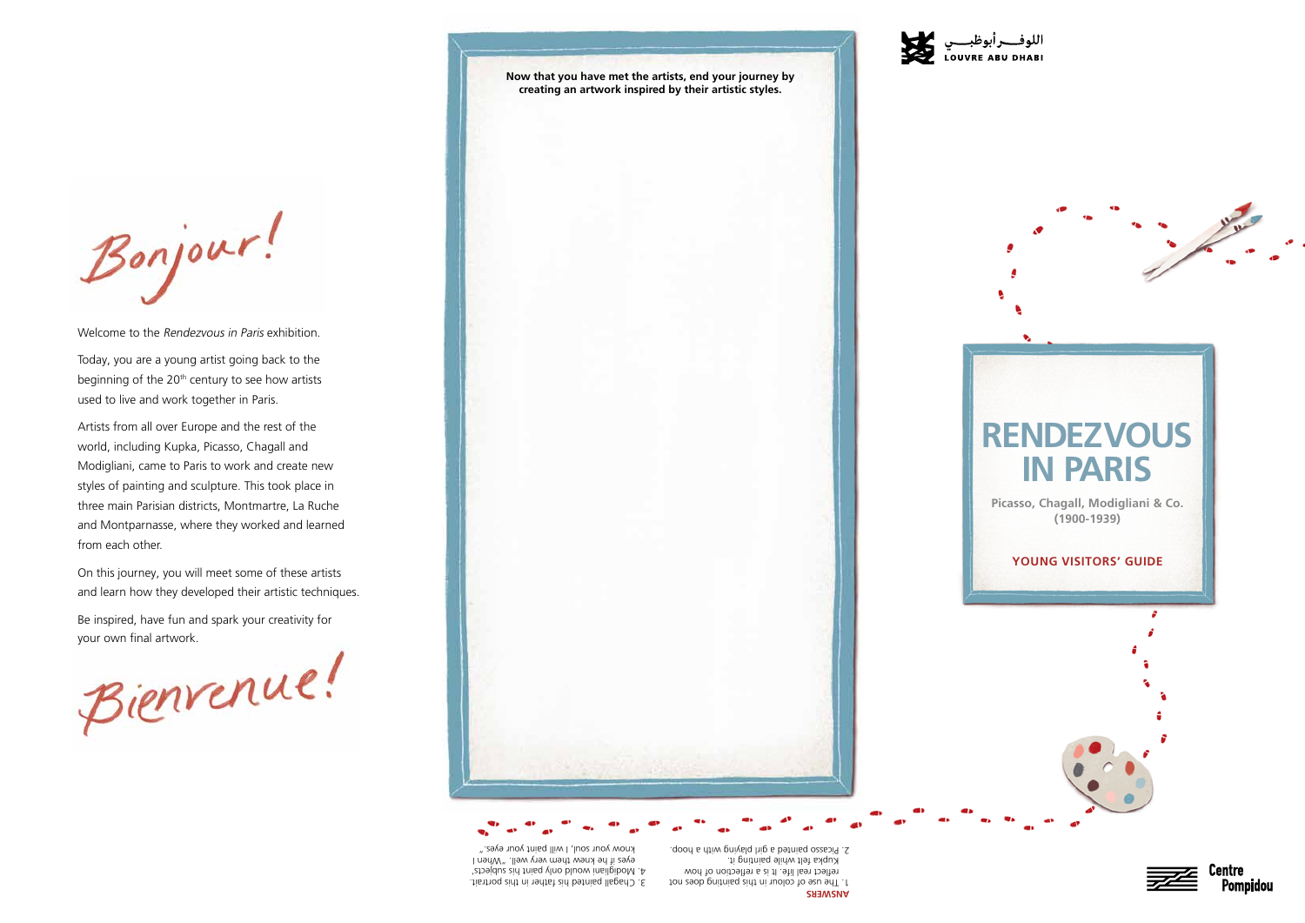**Now that you have met the artists, end your journey by creating an artwork inspired by their artistic styles.** 



**Picasso, Chagall, Modigliani & Co. (1900-1939)**

## **RENDEZVOUS IN PARIS**

## **YOUNG VISITORS' GUIDE**







Bonjour!

Welcome to the Rendezvous in Paris exhibition.

Today, you are a young artist going back to the beginning of the  $20<sup>th</sup>$  century to see how artists used to live and work together in Paris.

Artists from all over Europe and the rest of the world, including Kupka, Picasso, Chagall and Modigliani, came to Paris to work and create new styles of painting and sculpture. This took place in three main Parisian districts, Montmartre, La Ruche and Montparnasse, where they worked and learned from each other.

On this journey, you will meet some of these artists and learn how they developed their artistic techniques.

Be inspired, have fun and spark your creativity for your own final artwork.

Bienvenue!

**ANSWERS** The use of colour in this painting does not to reflect real life. It is a reflection of how Kupka fielt while painting it. 2. Picasso painted a girl playing with a hoop.



3. Chagall painted his father in this portrait. A Modigliani would only paint his subjects' eyes if he knew them very well. "Nen I know your soul, I will paint your eyes."